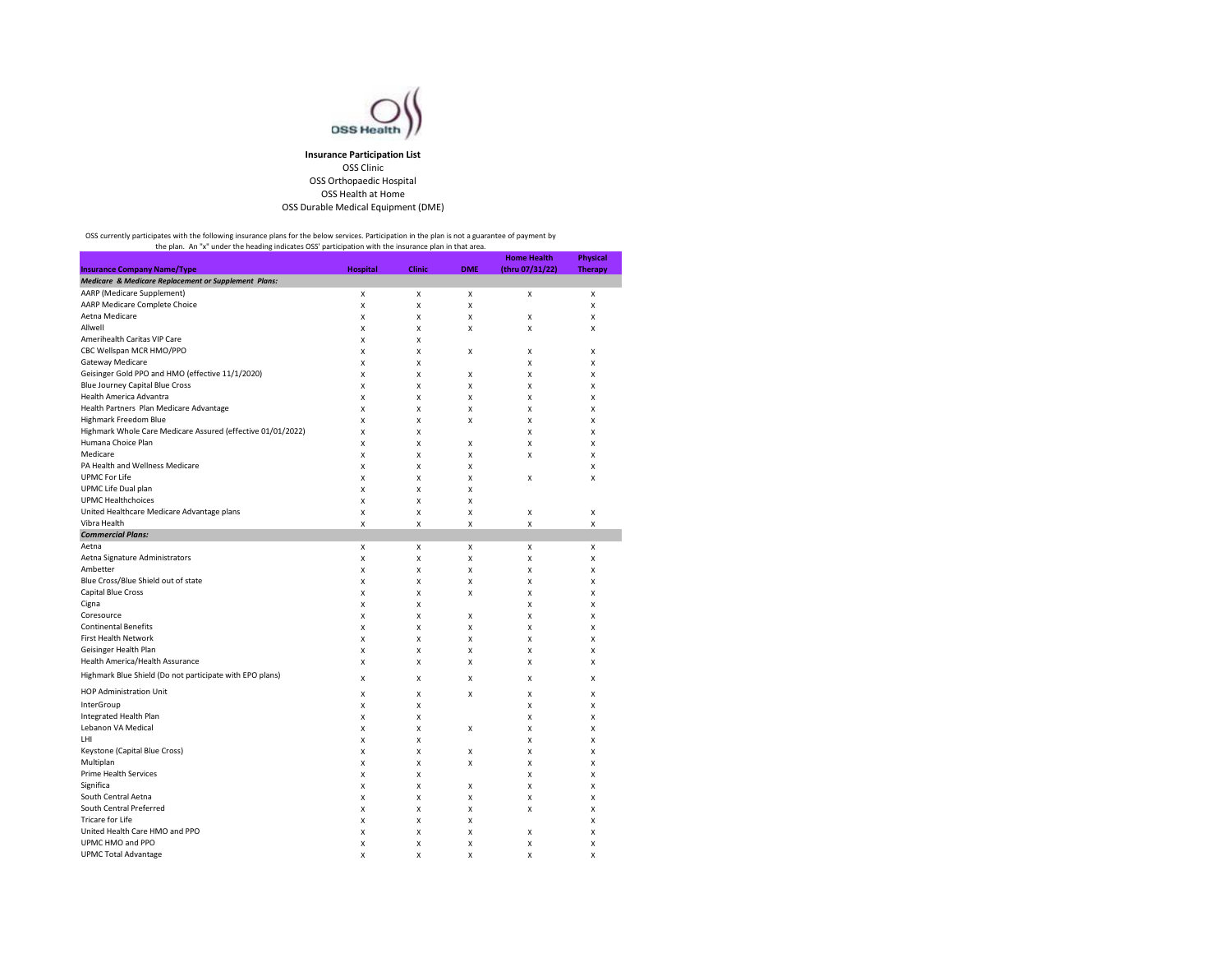

## **Insurance Participation List** OSS Clinic OSS Orthopaedic Hospital OSS Health at Home OSS Durable Medical Equipment (DME)

OSS currently participates with the following insurance plans for the below services. Participation in the plan is not a guarantee of payment by<br>the plan. An "x" under the heading indicates OSS' participation with the insu

|                                                                 |                 |               |            | <b>Home Health</b> | <b>Physical</b> |
|-----------------------------------------------------------------|-----------------|---------------|------------|--------------------|-----------------|
| <b>Insurance Company Name/Type</b>                              | <b>Hospital</b> | <b>Clinic</b> | <b>DME</b> | (thru 07/31/22)    | <b>Therapy</b>  |
| <b>Medicare &amp; Medicare Replacement or Supplement Plans:</b> |                 |               |            |                    |                 |
| AARP (Medicare Supplement)                                      | Χ               | x             | X          | X                  | х               |
| AARP Medicare Complete Choice                                   | X               | X             | X          |                    | X               |
| Aetna Medicare                                                  | X               | x             | X          | X                  | X               |
| Allwell                                                         | X               | X             | X          | X                  | X               |
| Amerihealth Caritas VIP Care                                    | X               | X             |            |                    |                 |
| CBC Wellspan MCR HMO/PPO                                        | X               | х             | Χ          | X                  | х               |
| Gateway Medicare                                                | X               | х             |            | X                  | X               |
| Geisinger Gold PPO and HMO (effective 11/1/2020)                | X               | X             | X          | X                  | X               |
| <b>Blue Journey Capital Blue Cross</b>                          | X               | х             | X          | X                  | X               |
| Health America Advantra                                         | X               | X             | X          | X                  | X               |
| Health Partners Plan Medicare Advantage                         | X               | X             | X          | X                  | X               |
| Highmark Freedom Blue                                           | X               | X             | X          | X                  | X               |
| Highmark Whole Care Medicare Assured (effective 01/01/2022)     | X               | X             |            | X                  | X               |
| Humana Choice Plan                                              | X               | X             | X          | X                  | X               |
| Medicare                                                        | X               | X             | X          | X                  | X               |
| PA Health and Wellness Medicare                                 | X               | х             | X          |                    | X               |
| <b>UPMC For Life</b>                                            | X               | X             | X          | X                  | X               |
| UPMC Life Dual plan                                             | X               | X             | X          |                    |                 |
| <b>UPMC Healthchoices</b>                                       | X               | х             | Χ          |                    |                 |
| United Healthcare Medicare Advantage plans                      | X               | X             | X          | X                  | X               |
| Vibra Health                                                    | X               | X             | X          | X                  | X               |
| <b>Commercial Plans:</b>                                        |                 |               |            |                    |                 |
| Aetna                                                           | X               | X             | X          | X                  | X               |
| Aetna Signature Administrators                                  | X               | x             | X          | X                  | X               |
| Ambetter                                                        | X               | X             | X          | X                  | X               |
| Blue Cross/Blue Shield out of state                             | X               | X             | X          | X                  | X               |
| <b>Capital Blue Cross</b>                                       | X               | X             | X          | X                  | X               |
| Cigna                                                           | X               | X             |            | X                  | X               |
| Coresource                                                      | X               | X             | X          | X                  | X               |
| <b>Continental Benefits</b>                                     | X               | X             | X          | X                  | X               |
| <b>First Health Network</b>                                     |                 |               |            |                    | X               |
| Geisinger Health Plan                                           | X               | x             | x          | X<br>X             |                 |
|                                                                 | X               | X             | X          |                    | X               |
| Health America/Health Assurance                                 | X               | X             | X          | X                  | X               |
| Highmark Blue Shield (Do not participate with EPO plans)        | X               | X             | X          | X                  | X               |
| HOP Administration Unit                                         | Χ               | х             | Χ          | X                  | X               |
| InterGroup                                                      | X               | x             |            | X                  | X               |
| Integrated Health Plan                                          | Χ               | х             |            | X                  | X               |
| Lebanon VA Medical                                              | Χ               | х             | X          | X                  | X               |
| LHI                                                             | X               | X             |            | X                  | X               |
| Keystone (Capital Blue Cross)                                   | X               | X             | x          | X                  | x               |
| Multiplan                                                       | Χ               | х             | X          | X                  | x               |
| Prime Health Services                                           | X               | X             |            | X                  | X               |
| Significa                                                       | X               | х             | Χ          | X                  | X               |
| South Central Aetna                                             | Χ               | X             | Χ          | X                  | x               |
| South Central Preferred                                         | X               | X             | X          | X                  | X               |
| Tricare for Life                                                | X               | х             | Χ          |                    | X               |
| United Health Care HMO and PPO                                  | X               | X             | Χ          | X                  | X               |
| UPMC HMO and PPO                                                | X               | X             | X          | X                  | X               |
| <b>UPMC Total Advantage</b>                                     | X               | X             | X          | X                  | X               |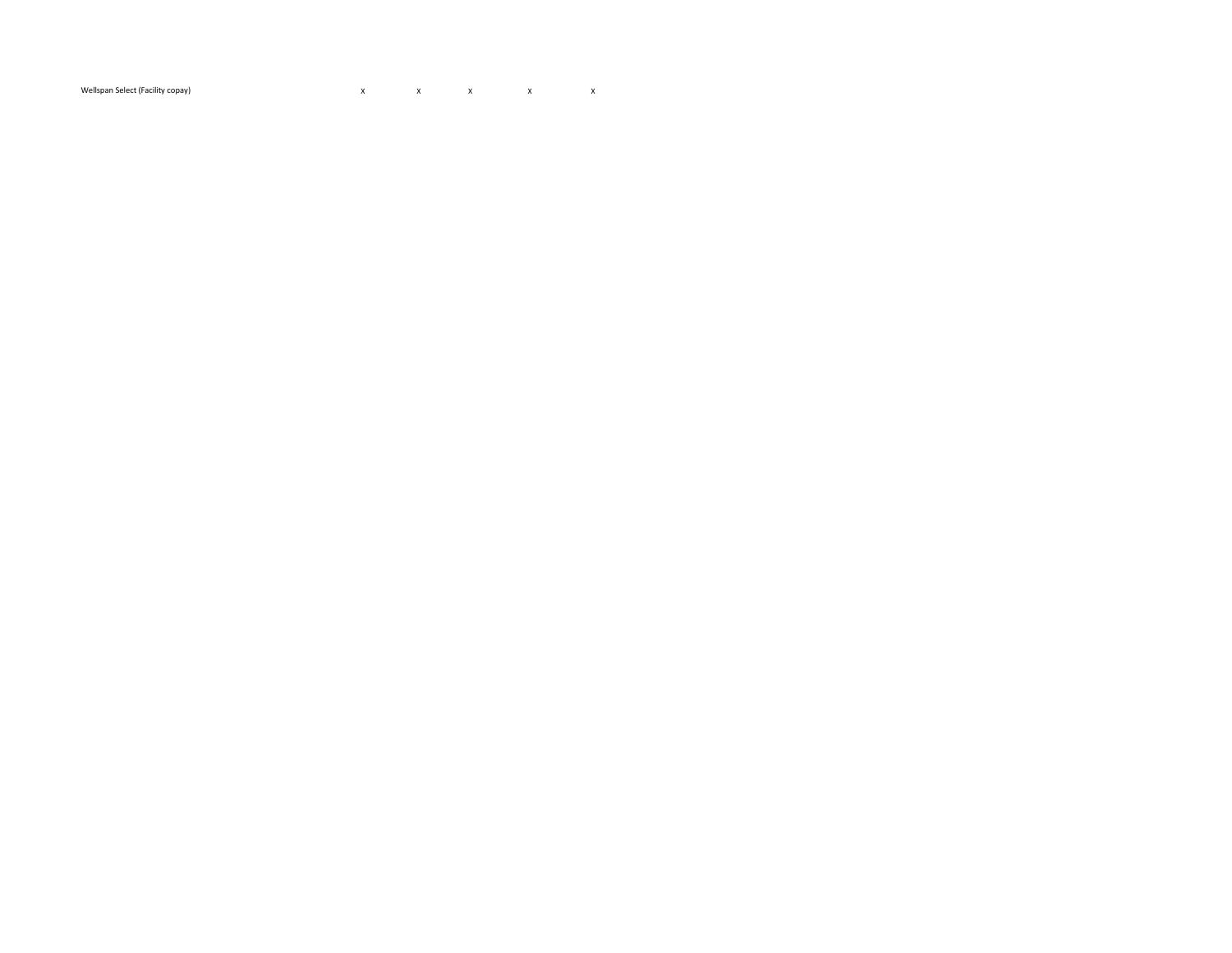$\mathsf{x}$  and  $\mathsf{x}$  and  $\mathsf{x}$  and  $\mathsf{x}$  and  $\mathsf{x}$ Wellspan Select (Facility copay)